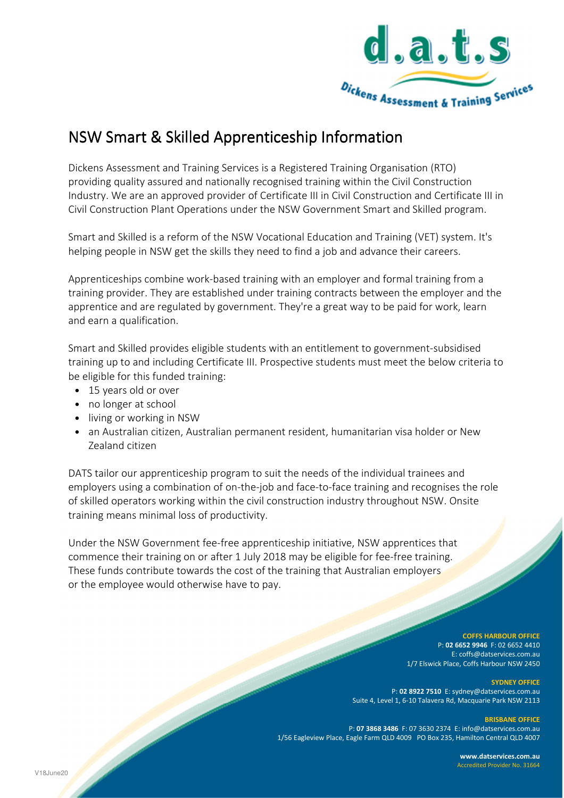

# NSW Smart & Skilled Apprenticeship Information

Dickens Assessment and Training Services is a Registered Training Organisation (RTO) providing quality assured and nationally recognised training within the Civil Construction Industry. We are an approved provider of Certificate III in Civil Construction and Certificate III in Civil Construction Plant Operations under the NSW Government Smart and Skilled program.

Smart and Skilled is a reform of the NSW Vocational Education and Training (VET) system. It's helping people in NSW get the skills they need to find a job and advance their careers.

Apprenticeships combine work-based training with an employer and formal training from a training provider. They are established under training contracts between the employer and the apprentice and are regulated by government. They're a great way to be paid for work, learn and earn a qualification.

Smart and Skilled provides eligible students with an entitlement to government-subsidised training up to and including Certificate III. Prospective students must meet the below criteria to be eligible for this funded training:

- 15 years old or over
- no longer at school
- living or working in NSW
- an Australian citizen, Australian permanent resident, humanitarian visa holder or New Zealand citizen

DATS tailor our apprenticeship program to suit the needs of the individual trainees and employers using a combination of on-the-job and face-to-face training and recognises the role of skilled operators working within the civil construction industry throughout NSW. Onsite training means minimal loss of productivity.

Under the NSW Government fee-free apprenticeship initiative, NSW apprentices that commence their training on or after 1 July 2018 may be eligible for fee-free training. These funds contribute towards the cost of the training that Australian employers or the employee would otherwise have to pay.

#### **COFFS HARBOUR OFFICE** P: **02 6652 9946** F: 02 6652 4410 E: coffs@datservices.com.au 1/7 Elswick Place, Coffs Harbour NSW 2450

**SYDNEY OFFICE** 

P: **02 8922 7510** E: sydney@datservices.com.au Suite 4, Level 1, 6-10 Talavera Rd, Macquarie Park NSW 2113

#### **BRISBANE OFFICE**

P: **07 3868 3486** F: 07 3630 2374 E: info@datservices.com.au 1/56 Eagleview Place, Eagle Farm QLD 4009 PO Box 235, Hamilton Central QLD 4007

> **www.datservices.com.au** Accredited Provider No. 31664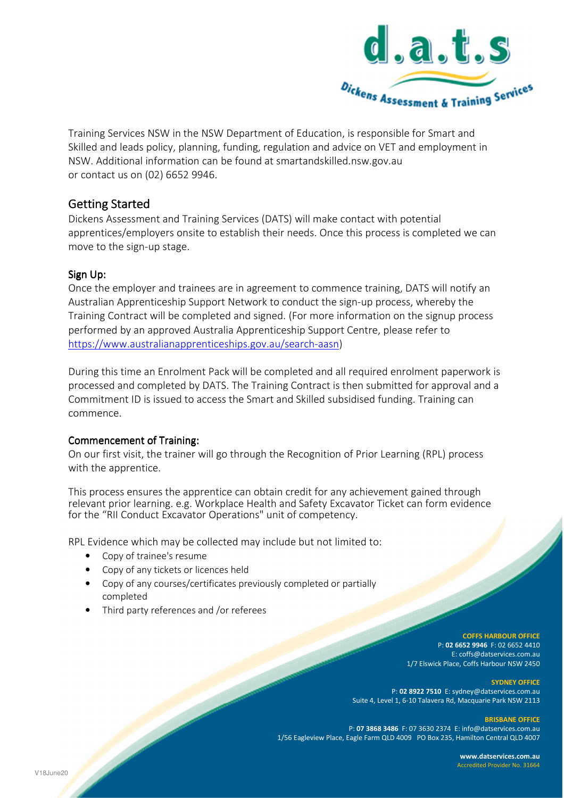

Training Services NSW in the NSW Department of Education, is responsible for Smart and Skilled and leads policy, planning, funding, regulation and advice on VET and employment in NSW. Additional information can be found at smartandskilled.nsw.gov.au or contact us on (02) 6652 9946.

## **Getting Started**

Dickens Assessment and Training Services (DATS) will make contact with potential apprentices/employers onsite to establish their needs. Once this process is completed we can move to the sign-up stage.

### Sign Up:

Once the employer and trainees are in agreement to commence training, DATS will notify an Australian Apprenticeship Support Network to conduct the sign-up process, whereby the Training Contract will be completed and signed. (For more information on the signup process performed by an approved Australia Apprenticeship Support Centre, please refer to https://www.australianapprenticeships.gov.au/search-aasn)

During this time an Enrolment Pack will be completed and all required enrolment paperwork is processed and completed by DATS. The Training Contract is then submitted for approval and a Commitment ID is issued to access the Smart and Skilled subsidised funding. Training can commence.

#### Commencement of Training:

On our first visit, the trainer will go through the Recognition of Prior Learning (RPL) process with the apprentice.

This process ensures the apprentice can obtain credit for any achievement gained through relevant prior learning. e.g. Workplace Health and Safety Excavator Ticket can form evidence for the "RII Conduct Excavator Operations" unit of competency.

RPL Evidence which may be collected may include but not limited to:

- Copy of trainee's resume
- Copy of any tickets or licences held
- Copy of any courses/certificates previously completed or partially completed
- Third party references and /or referees

**COFFS HARBOUR OFFICE** P: **02 6652 9946** F: 02 6652 4410 E: coffs@datservices.com.au 1/7 Elswick Place, Coffs Harbour NSW 2450

 **SYDNEY OFFICE**  P: **02 8922 7510** E: sydney@datservices.com.au Suite 4, Level 1, 6-10 Talavera Rd, Macquarie Park NSW 2113

**BRISBANE OFFICE** 

P: **07 3868 3486** F: 07 3630 2374 E: info@datservices.com.au 1/56 Eagleview Place, Eagle Farm QLD 4009 PO Box 235, Hamilton Central QLD 4007

> **www.datservices.com.au** Accredited Provider No. 31664